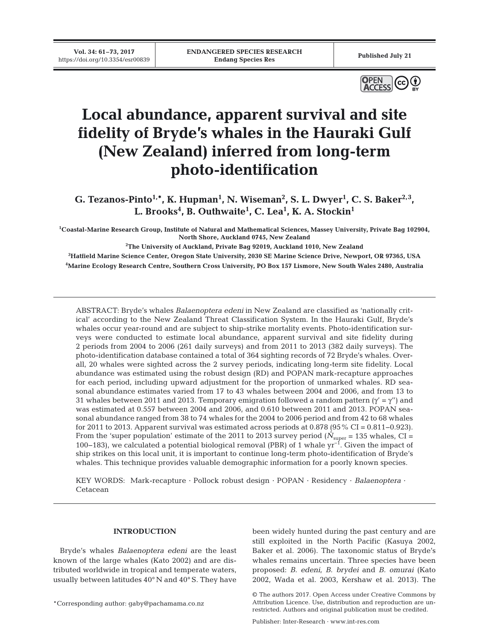**Vol. 34: 61–73, 2017**



# **Local abundance, apparent survival and site fidelity of Bryde's whales in the Hauraki Gulf (New Zealand) inferred from long-term photo-identification**

**G. Tezanos-Pinto<sup>1,\*</sup>, K. Hupman<sup>1</sup>, N. Wiseman<sup>2</sup>, S. L. Dwyer<sup>1</sup>, C. S. Baker<sup>2,3</sup>, L. Brooks4 , B. Outhwaite1 , C. Lea1 , K. A. Stockin1**

**1 Coastal-Marine Research Group, Institute of Natural and Mathematical Sciences, Massey University, Private Bag 102904, North Shore, Auckland 0745, New Zealand**

**2 The University of Auckland, Private Bag 92019, Auckland 1010, New Zealand**

**3 Hatfield Marine Science Center, Oregon State University, 2030 SE Marine Science Drive, Newport, OR 97365, USA 4 Marine Ecology Research Centre, Southern Cross University, PO Box 157 Lismore, New South Wales 2480, Australia**

ABSTRACT: Bryde's whales *Balaenoptera edeni* in New Zealand are classified as 'nationally critical' according to the New Zealand Threat Classification System. In the Hauraki Gulf, Bryde's whales occur year-round and are subject to ship-strike mortality events. Photo-identification surveys were conducted to estimate local abundance, apparent survival and site fidelity during 2 periods from 2004 to 2006 (261 daily surveys) and from 2011 to 2013 (382 daily surveys). The photo-identification database contained a total of 364 sighting records of 72 Bryde's whales. Overall, 20 whales were sighted across the 2 survey periods, indicating long-term site fidelity. Local abundance was estimated using the robust design (RD) and POPAN mark-recapture approaches for each period, including upward adjustment for the proportion of unmarked whales. RD seasonal abundance estimates varied from 17 to 43 whales between 2004 and 2006, and from 13 to 31 whales between 2011 and 2013. Temporary emigration followed a random pattern  $(\gamma' = \gamma'')$  and was estimated at 0.557 between 2004 and 2006, and 0.610 between 2011 and 2013. POPAN seasonal abundance ranged from 38 to 74 whales for the 2004 to 2006 period and from 42 to 68 whales for 2011 to 2013. Apparent survival was estimated across periods at 0.878 (95% CI = 0.811−0.923). From the 'super population' estimate of the 2011 to 2013 survey period ( $\dot{N}_{\text{super}}$  = 135 whales, CI = 100−183), we calculated a potential biological removal (PBR) of 1 whale yr−1. Given the impact of ship strikes on this local unit, it is important to continue long-term photo-identification of Bryde's whales. This technique provides valuable demographic information for a poorly known species.

KEY WORDS: Mark-recapture · Pollock robust design · POPAN · Residency · *Balaenoptera* · Cetacean

## **INTRODUCTION**

Bryde's whales *Balaenoptera edeni* are the least known of the large whales (Kato 2002) and are distributed worldwide in tropical and temperate waters, usually between latitudes 40° N and 40° S. They have

\*Corresponding author: gaby@pachamama.co.nz

been widely hunted during the past century and are still exploited in the North Pacific (Kasuya 2002, Baker et al. 2006). The taxonomic status of Bryde's whales remains uncertain. Three species have been proposed: *B. edeni*, *B. brydei* and *B. omurai* (Kato 2002, Wada et al. 2003, Kershaw et al. 2013). The

Publisher: Inter-Research · www.int-res.com

<sup>©</sup> The authors 2017. Open Access under Creative Commons by Attribution Licence. Use, distribution and reproduction are unrestricted. Authors and original publication must be credited.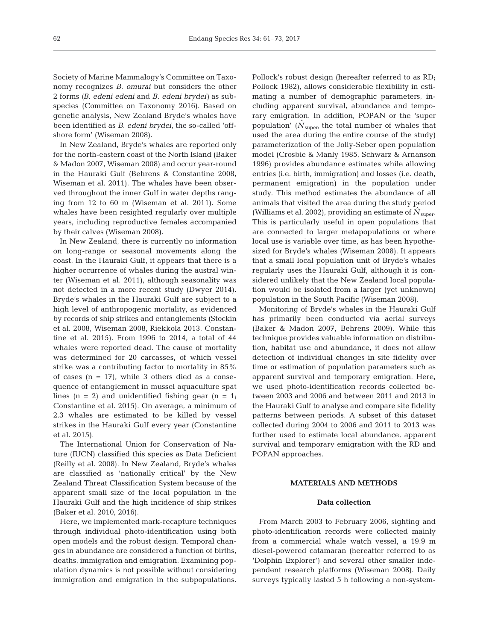Society of Marine Mammalogy's Committee on Taxo nomy recognizes *B. omurai* but considers the other 2 forms *(B. edeni edeni* and *B. edeni brydei)* as subspecies (Committee on Taxonomy 2016). Based on genetic analysis, New Zealand Bryde's whales have been identified as *B. edeni brydei*, the so-called 'offshore form' (Wiseman 2008).

In New Zealand, Bryde's whales are reported only for the north-eastern coast of the North Island (Baker & Madon 2007, Wiseman 2008) and occur year-round in the Hauraki Gulf (Behrens & Constantine 2008, Wiseman et al. 2011). The whales have been observed throughout the inner Gulf in water depths ranging from 12 to 60 m (Wiseman et al. 2011). Some whales have been resighted regularly over multiple years, including reproductive females accompanied by their calves (Wiseman 2008).

In New Zealand, there is currently no information on long-range or seasonal movements along the coast. In the Hauraki Gulf, it appears that there is a higher occurrence of whales during the austral winter (Wiseman et al. 2011), although seasonality was not detected in a more recent study (Dwyer 2014). Bryde's whales in the Hauraki Gulf are subject to a high level of anthropogenic mortality, as evidenced by records of ship strikes and entanglements (Stockin et al. 2008, Wiseman 2008, Riekkola 2013, Constantine et al. 2015). From 1996 to 2014, a total of 44 whales were reported dead. The cause of mortality was determined for 20 carcasses, of which vessel strike was a contributing factor to mortality in 85% of cases  $(n = 17)$ , while 3 others died as a consequence of entanglement in mussel aquaculture spat lines  $(n = 2)$  and unidentified fishing gear  $(n = 1)$ ; Constantine et al. 2015). On average, a minimum of 2.3 whales are estimated to be killed by vessel strikes in the Hauraki Gulf every year (Constantine et al. 2015).

The International Union for Conservation of Nature (IUCN) classified this species as Data Deficient (Reilly et al. 2008). In New Zealand, Bryde's whales are classified as 'nationally critical' by the New Zealand Threat Classification System because of the apparent small size of the local population in the Hauraki Gulf and the high incidence of ship strikes (Baker et al. 2010, 2016).

Here, we implemented mark-recapture techniques through individual photo-identification using both open models and the robust design. Temporal chan ges in abundance are considered a function of births, deaths, immigration and emigration. Examining population dynamics is not possible without considering immigration and emigration in the subpopulations. Pollock's robust design (hereafter referred to as RD; Pollock 1982), allows considerable flexibility in estimating a number of demographic parameters, including apparent survival, abundance and temporary emigration. In addition, POPAN or the 'super population' ( $\dot{N}_{super}$ , the total number of whales that used the area during the entire course of the study) parameterization of the Jolly-Seber open population model (Crosbie & Manly 1985, Schwarz & Arnanson 1996) provides abundance estimates while allowing entries (i.e. birth, immigration) and losses (i.e. death, permanent emigration) in the population under study. This method estimates the abundance of all animals that visited the area during the study period (Williams et al. 2002), providing an estimate of  $N_{\text{super}}$ . This is particularly useful in open populations that are connected to larger metapopulations or where local use is variable over time, as has been hypothesized for Bryde's whales (Wiseman 2008). It appears that a small local population unit of Bryde's whales regularly uses the Hauraki Gulf, although it is considered unlikely that the New Zealand local population would be isolated from a larger (yet unknown) population in the South Pacific (Wiseman 2008).

Monitoring of Bryde's whales in the Hauraki Gulf has primarily been conducted via aerial surveys (Baker & Madon 2007, Behrens 2009). While this technique provides valuable information on distribution, habitat use and abundance, it does not allow detection of individual changes in site fidelity over time or estimation of population parameters such as apparent survival and temporary emigration. Here, we used photo-identification records collected be tween 2003 and 2006 and between 2011 and 2013 in the Hauraki Gulf to analyse and compare site fidelity patterns between periods. A subset of this dataset collected during 2004 to 2006 and 2011 to 2013 was further used to estimate local abundance, apparent survival and temporary emigration with the RD and POPAN approaches.

#### **MATERIALS AND METHODS**

## **Data collection**

From March 2003 to February 2006, sighting and photo-identification records were collected mainly from a commercial whale watch vessel, a 19.9 m diesel-powered catamaran (hereafter referred to as 'Dolphin Explorer') and several other smaller independent research platforms (Wiseman 2008). Daily surveys typically lasted 5 h following a non-system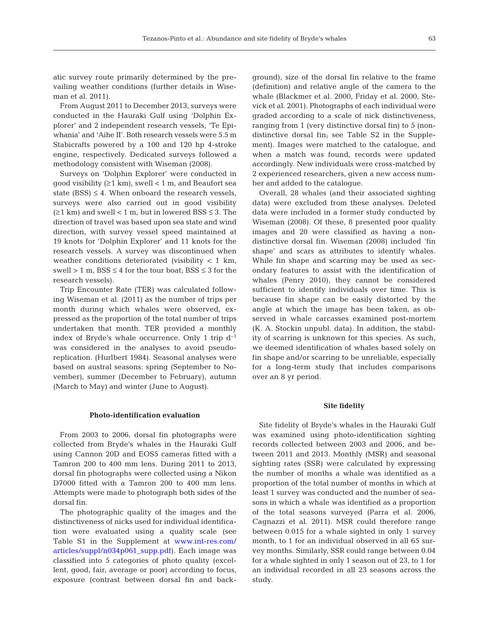atic survey route primarily determined by the prevailing weather conditions (further details in Wiseman et al. 2011).

From August 2011 to December 2013, surveys were conducted in the Hauraki Gulf using 'Dolphin Explorer' and 2 independent research vessels, 'Te Epiwhania' and 'Aihe II'. Both research vessels were 5.5 m Stabicrafts powered by a 100 and 120 hp 4-stroke engine, respectively. Dedicated surveys followed a methodology consistent with Wiseman (2008).

Surveys on 'Dolphin Explorer' were conducted in good visibility  $(≥1 km)$ , swell < 1 m, and Beaufort sea state  $(BSS) \leq 4$ . When onboard the research vessels, surveys were also carried out in good visibility  $(≥1 km)$  and swell < 1 m, but in lowered BSS ≤ 3. The direction of travel was based upon sea state and wind direction, with survey vessel speed maintained at 19 knots for 'Dolphin Explorer' and 11 knots for the research vessels. A survey was discontinued when weather conditions deteriorated (visibility  $< 1$  km, swell > 1 m,  $BSS \leq 4$  for the tour boat;  $BSS \leq 3$  for the research vessels).

Trip Encounter Rate (TER) was calculated following Wiseman et al. (2011) as the number of trips per month during which whales were observed, expressed as the proportion of the total number of trips undertaken that month. TER provided a monthly index of Bryde's whale occurrence. Only 1 trip  $d^{-1}$ was considered in the analyses to avoid pseudoreplication. (Hurlbert 1984). Seasonal analyses were based on austral seasons: spring (September to November), summer (December to February), autumn (March to May) and winter (June to August).

#### **Photo-identification evaluation**

From 2003 to 2006, dorsal fin photographs were collected from Bryde's whales in the Hauraki Gulf using Cannon 20D and EOS5 cameras fitted with a Tamron 200 to 400 mm lens. During 2011 to 2013, dorsal fin photographs were collected using a Nikon D7000 fitted with a Tamron 200 to 400 mm lens. Attempts were made to photograph both sides of the dorsal fin.

The photographic quality of the images and the distinctiveness of nicks used for individual identification were evaluated using a quality scale (see Table S1 in the Supplement at [www.int-res. com/](http://www.int-res.com/articles/suppl/n034p061_supp.pdf) articles/suppl/n034p061\_supp.pdf). Each image was classified into 5 categories of photo quality (excellent, good, fair, average or poor) according to focus, exposure (contrast between dorsal fin and background), size of the dorsal fin relative to the frame (definition) and relative angle of the camera to the whale (Blackmer et al. 2000, Friday et al. 2000, Stevick et al. 2001). Photographs of each individual were graded according to a scale of nick distinctiveness, ranging from 1 (very distinctive dorsal fin) to 5 (nondistinctive dorsal fin; see Table S2 in the Supplement). Images were matched to the catalogue, and when a match was found, records were updated accordingly. New individuals were cross-matched by 2 experienced researchers, given a new access number and added to the catalogue.

Overall, 28 whales (and their associated sighting data) were excluded from these analyses. Deleted data were included in a former study conducted by Wiseman (2008). Of these, 8 presented poor quality images and 20 were classified as having a nondistinctive dorsal fin. Wiseman (2008) included 'fin shape' and scars as attributes to identify whales. While fin shape and scarring may be used as secondary features to assist with the identification of whales (Penry 2010), they cannot be considered sufficient to identify individuals over time. This is because fin shape can be easily distorted by the angle at which the image has been taken, as observed in whale carcasses examined post-mortem (K. A. Stockin unpubl. data). In addition, the stability of scarring is unknown for this species. As such, we deemed identification of whales based solely on fin shape and/or scarring to be unreliable, especially for a long-term study that includes comparisons over an 8 yr period.

#### **Site fidelity**

Site fidelity of Bryde's whales in the Hauraki Gulf was examined using photo-identification sighting records collected between 2003 and 2006, and be tween 2011 and 2013. Monthly (MSR) and seasonal sighting rates (SSR) were calculated by expressing the number of months a whale was identified as a proportion of the total number of months in which at least 1 survey was conducted and the number of seasons in which a whale was identified as a proportion of the total seasons surveyed (Parra et al. 2006, Cagnazzi et al. 2011). MSR could therefore range between 0.015 for a whale sighted in only 1 survey month, to 1 for an individual observed in all 65 survey months. Similarly, SSR could range between 0.04 for a whale sighted in only 1 season out of 23, to 1 for an individual recorded in all 23 seasons across the study.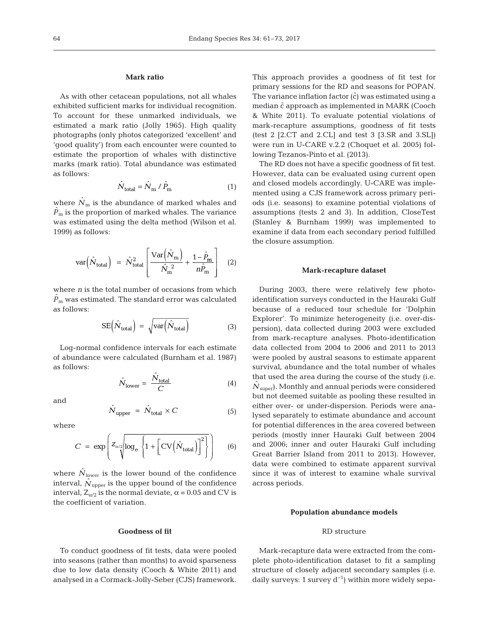#### **Mark ratio**

As with other cetacean populations, not all whales exhibited sufficient marks for individual recognition. To account for these unmarked individuals, we estimated a mark ratio (Jolly 1965). High quality photographs (only photos categorized 'excellent' and 'good quality') from each encounter were counted to estimate the proportion of whales with distinctive marks (mark ratio). Total abundance was estimated as follows:

$$
\hat{N}_{\text{total}} = \hat{N}_{\text{m}} / \hat{P}_{\text{m}} \tag{1}
$$

where  $\hat{N}_{\rm m}$  is the abundance of marked whales and  ${\hat{P}}_{\rm m}$  is the proportion of marked whales. The variance was estimated using the delta method (Wilson et al. 1999) as follows:

$$
\text{var}\Big(\hat{N}_{\text{total}}\Big) = \hat{N}_{\text{total}}^2 \left[ \frac{\text{Var}\Big(\hat{N}_{\text{m}}\Big)}{\hat{N}_{\text{m}}^2} + \frac{1 - \hat{P}_{\text{m}}}{n\hat{P}_{\text{m}}} \right] \quad (2)
$$

where *n* is the total number of occasions from which  ${\hat{P}}_{\rm{m}}$  was estimated. The standard error was calculated as follows:

$$
SE(\hat{N}_{total}) = \sqrt{var(\hat{N}_{total})}
$$
\n(3)

Log-normal confidence intervals for each estimate of abundance were calculated (Burnham et al. 1987) as follows:

$$
\hat{N}_{\text{lower}} = \frac{\hat{N}_{\text{total}}}{C} \tag{4}
$$

and

$$
\hat{N}_{\text{upper}} = \hat{N}_{\text{total}} \times C \tag{5}
$$

where

$$
C = \exp\left(z_{\alpha/2} \log_e \left\{ 1 + \left[ \text{CV} \left( \hat{N}_{\text{total}} \right) \right]^2 \right\} \right) \tag{6}
$$

where  $N_{\text{lower}}$  is the lower bound of the confidence interval,  $\hat{N}_{\text{upper}}$  is the upper bound of the confidence interval,  $Z_{\alpha/2}$  is the normal deviate,  $\alpha$  = 0.05 and CV is the coefficient of variation.

#### **Goodness of fit**

To conduct goodness of fit tests, data were pooled into seasons (rather than months) to avoid sparseness due to low data density (Cooch & White 2011) and analysed in a Cormack-Jolly-Seber (CJS) framework. This approach provides a goodness of fit test for primary sessions for the RD and seasons for POPAN. The variance inflation factor  $(\hat{c})$  was estimated using a median  $\hat{c}$  approach as implemented in MARK (Cooch & White 2011). To evaluate potential violations of mark-recapture assumptions, goodness of fit tests (test 2 [2.CT and 2.CL] and test 3 [3.SR and 3.SL]) were run in U-CARE v.2.2 (Choquet et al. 2005) following Tezanos-Pinto et al. (2013).

The RD does not have a specific goodness of fit test. However, data can be evaluated using current open and closed models accordingly. U-CARE was implemented using a CJS framework across primary periods (i.e. seasons) to examine potential violations of assumptions (tests 2 and 3). In addition, CloseTest (Stanley & Burnham 1999) was implemented to examine if data from each secondary period fulfilled the closure assumption.

## **Mark-recapture dataset**

During 2003, there were relatively few photoidentification surveys conducted in the Hauraki Gulf because of a reduced tour schedule for 'Dolphin Explorer'. To minimize heterogeneity (i.e. over-dispersion), data collected during 2003 were excluded from mark-recapture analyses. Photo-identification data collected from 2004 to 2006 and 2011 to 2013 were pooled by austral seasons to estimate apparent survival, abundance and the total number of whales that used the area during the course of the study (i.e. *N*<sub>super</sub>). Monthly and annual periods were considered but not deemed suitable as pooling these resulted in either over- or under-dispersion. Periods were analysed separately to estimate abundance and account for potential differences in the area covered between periods (mostly inner Hauraki Gulf between 2004 and 2006; inner and outer Hauraki Gulf including Great Barrier Island from 2011 to 2013). However, data were combined to estimate apparent survival since it was of interest to examine whale survival across periods.

#### **Population abundance models**

## RD structure

Mark-recapture data were extracted from the complete photo-identification dataset to fit a sampling structure of closely adjacent secondary samples (i.e. daily surveys: 1 survey  $d^{-1}$ ) within more widely sepa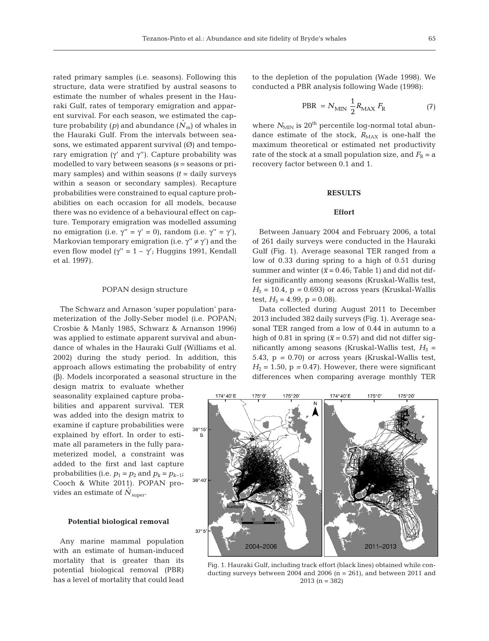rated primary samples (i.e. seasons). Following this structure, data were stratified by austral seasons to estimate the number of whales present in the Hauraki Gulf, rates of temporary emigration and apparent survival. For each season, we estimated the capture probability (p) and abundance  $(N<sub>m</sub>)$  of whales in the Hauraki Gulf. From the intervals between seasons, we estimated apparent survival  $(\emptyset)$  and temporary emigration (γ' and γ''). Capture probability was modelled to vary between seasons *(s* = seasons or primary samples) and within seasons  $(t = \text{daily surveys})$ within a season or secondary samples). Recapture probabilities were constrained to equal capture probabilities on each occasion for all models, because there was no evidence of a behavioural effect on capture. Temporary emigration was modelled assuming no emigration (i.e.  $\gamma'' = \gamma' = 0$ ), random (i.e.  $\gamma'' = \gamma'$ ), Markovian temporary emigration (i.e.  $\gamma'' \neq \gamma'$ ) and the even flow model ( $\gamma$ " = 1 –  $\gamma$ '; Huggins 1991, Kendall et al. 1997).

#### POPAN design structure

The Schwarz and Arnason 'super population' parameterization of the Jolly-Seber model (i.e. POPAN; Crosbie & Manly 1985, Schwarz & Arnanson 1996) was applied to estimate apparent survival and abundance of whales in the Hauraki Gulf (Williams et al. 2002) during the study period. In addition, this approach allows estimating the probability of entry (β). Models incorporated a seasonal structure in the

design matrix to evaluate whether seasonality explained capture probabilities and apparent survival. TER was added into the design matrix to examine if capture probabilities were explained by effort. In order to estimate all parameters in the fully parameterized model, a constraint was added to the first and last capture probabilities (i.e.  $p_1 = p_2$  and  $p_k = p_{k-1}$ ; Cooch & White 2011). POPAN provides an estimate of  $N_{\text{super}}$ .

#### **Potential biological removal**

Any marine mammal population with an estimate of human-induced mortality that is greater than its potential biological removal (PBR) has a level of mortality that could lead to the depletion of the population (Wade 1998). We conducted a PBR analysis following Wade (1998):

$$
PBR = N_{\text{MIN}} \frac{1}{2} R_{\text{MAX}} F_{\text{R}} \tag{7}
$$

where  $N_{\text{MIN}}$  is 20<sup>th</sup> percentile log-normal total abundance estimate of the stock,  $R_{MAX}$  is one-half the maximum theoretical or estimated net productivity rate of the stock at a small population size, and  $F_R = a$ recovery factor between 0.1 and 1.

## **RESULTS**

# **Effort**

Between January 2004 and February 2006, a total of 261 daily surveys were conducted in the Hauraki Gulf (Fig. 1). Average seasonal TER ranged from a low of 0.33 during spring to a high of 0.51 during summer and winter ( $\bar{x}$  = 0.46; Table 1) and did not differ significantly among seasons (Kruskal-Wallis test,  $H_3 = 10.4$ ,  $p = 0.693$ ) or across years (Kruskal-Wallis test,  $H_3 = 4.99$ ,  $p = 0.08$ ).

Data collected during August 2011 to December 2013 included 382 daily surveys (Fig. 1). Average seasonal TER ranged from a low of 0.44 in autumn to a high of 0.81 in spring ( $\bar{x}$  = 0.57) and did not differ significantly among seasons (Kruskal-Wallis test,  $H_3$  = 5.43, p *=* 0.70) or across years (Kruskal-Wallis test,  $H_2 = 1.50$ ,  $p = 0.47$ ). However, there were significant differences when comparing average monthly TER



Fig. 1. Hauraki Gulf, including track effort (black lines) obtained while conducting surveys between 2004 and 2006 (n = 261), and between 2011 and 2013 (n = 382)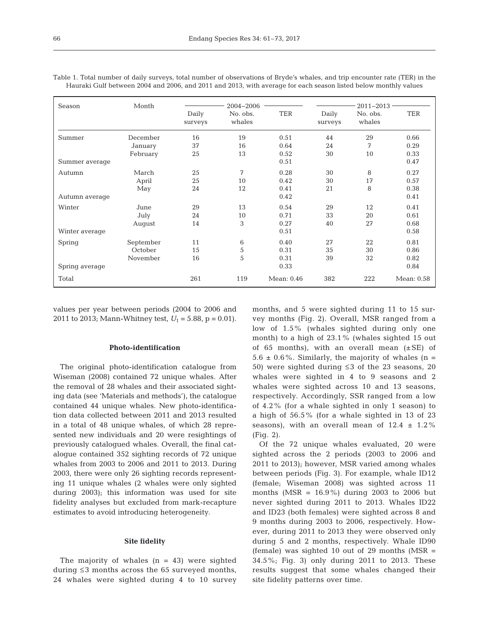| Season         | Month     |                  | 2004-2006          | $2011 - 2013$ - |                  |                    |            |
|----------------|-----------|------------------|--------------------|-----------------|------------------|--------------------|------------|
|                |           | Daily<br>surveys | No. obs.<br>whales | TER             | Daily<br>surveys | No. obs.<br>whales | <b>TER</b> |
| Summer         | December  | 16               | 19                 | 0.51            | 44               | 29                 | 0.66       |
|                | January   | 37               | 16                 | 0.64            | 24               | 7                  | 0.29       |
|                | February  | 25               | 13                 | 0.52            | 30               | 10                 | 0.33       |
| Summer average |           |                  |                    | 0.51            |                  |                    | 0.47       |
| Autumn         | March     | 25               | 7                  | 0.28            | 30               | 8                  | 0.27       |
|                | April     | 25               | 10                 | 0.42            | 30               | 17                 | 0.57       |
|                | May       | 24               | 12                 | 0.41            | 21               | 8                  | 0.38       |
| Autumn average |           |                  |                    | 0.42            |                  |                    | 0.41       |
| Winter         | June      | 29               | 13                 | 0.54            | 29               | 12                 | 0.41       |
|                | July      | 24               | 10                 | 0.71            | 33               | 20                 | 0.61       |
|                | August    | 14               | 3                  | 0.27            | 40               | 27                 | 0.68       |
| Winter average |           |                  |                    | 0.51            |                  |                    | 0.58       |
| Spring         | September | 11               | 6                  | 0.40            | 27               | 22                 | 0.81       |
|                | October   | 15               | 5                  | 0.31            | 35               | 30                 | 0.86       |
|                | November  | 16               | 5                  | 0.31            | 39               | 32                 | 0.82       |
| Spring average |           |                  |                    | 0.33            |                  |                    | 0.84       |
| Total          |           | 261              | 119                | Mean: 0.46      | 382              | 222                | Mean: 0.58 |

Table 1. Total number of daily surveys, total number of observations of Bryde's whales, and trip encounter rate (TER) in the Hauraki Gulf between 2004 and 2006, and 2011 and 2013, with average for each season listed below monthly values

values per year between periods (2004 to 2006 and 2011 to 2013; Mann-Whitney test,  $U_1 = 5.88$ ,  $p = 0.01$ ).

#### **Photo-identification**

The original photo-identification catalogue from Wiseman (2008) contained 72 unique whales. After the removal of 28 whales and their associated sighting data (see 'Materials and methods'), the catalogue contained 44 unique whales. New photo-identification data collected between 2011 and 2013 resulted in a total of 48 unique whales, of which 28 represented new individuals and 20 were resightings of previously catalogued whales. Overall, the final catalogue contained 352 sighting records of 72 unique whales from 2003 to 2006 and 2011 to 2013. During 2003, there were only 26 sighting records representing 11 unique whales (2 whales were only sighted during 2003); this information was used for site fidelity analyses but excluded from mark-recapture estimates to avoid introducing heterogeneity.

#### **Site fidelity**

The majority of whales  $(n = 43)$  were sighted during ≤3 months across the 65 surveyed months, 24 whales were sighted during 4 to 10 survey months, and 5 were sighted during 11 to 15 survey months (Fig. 2). Overall, MSR ranged from a low of 1.5% (whales sighted during only one month) to a high of 23.1% (whales sighted 15 out of 65 months), with an overall mean  $(\pm SE)$  of  $5.6 \pm 0.6\%$ . Similarly, the majority of whales (n = 50) were sighted during ≤3 of the 23 seasons, 20 whales were sighted in 4 to 9 seasons and 2 whales were sighted across 10 and 13 seasons, respectively. Accordingly, SSR ranged from a low of 4.2% (for a whale sighted in only 1 season) to a high of 56.5% (for a whale sighted in 13 of 23 seasons), with an overall mean of  $12.4 \pm 1.2\%$ (Fig. 2).

Of the 72 unique whales evaluated, 20 were sighted across the 2 periods (2003 to 2006 and 2011 to 2013); however, MSR varied among whales between periods (Fig. 3). For example, whale ID12 (female; Wiseman 2008) was sighted across 11 months (MSR = 16.9%) during 2003 to 2006 but never sighted during 2011 to 2013. Whales ID22 and ID23 (both females) were sighted across 8 and 9 months during 2003 to 2006, respectively. However, during 2011 to 2013 they were observed only during 5 and 2 months, respectively. Whale ID90 (female) was sighted 10 out of 29 months ( $MSR =$ 34.5%; Fig. 3) only during 2011 to 2013. These results suggest that some whales changed their site fidelity patterns over time.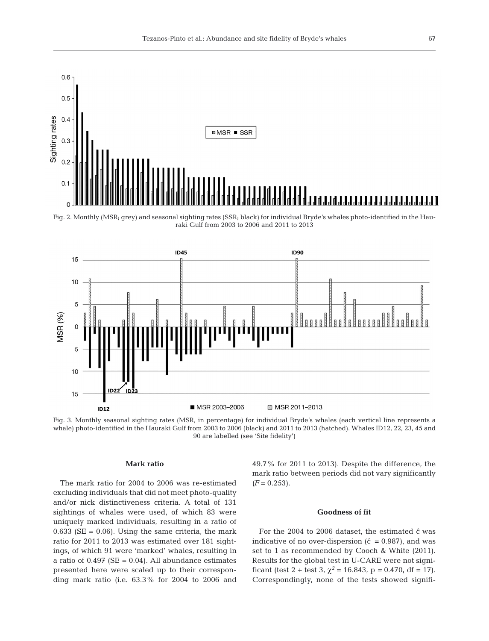

Fig. 2. Monthly (MSR; grey) and seasonal sighting rates (SSR; black) for individual Bryde's whales photo-identified in the Hauraki Gulf from 2003 to 2006 and 2011 to 2013



Fig. 3. Monthly seasonal sighting rates (MSR, in percentage) for individual Bryde's whales (each vertical line represents a whale) photo-identified in the Hauraki Gulf from 2003 to 2006 (black) and 2011 to 2013 (hatched). Whales ID12, 22, 23, 45 and 90 are labelled (see 'Site fidelity')

## **Mark ratio**

The mark ratio for 2004 to 2006 was re-estimated excluding individuals that did not meet photo-quality and/or nick distinctiveness criteria. A total of 131 sightings of whales were used, of which 83 were uniquely marked individuals, resulting in a ratio of  $0.633$  (SE = 0.06). Using the same criteria, the mark ratio for 2011 to 2013 was estimated over 181 sightings, of which 91 were 'marked' whales, resulting in a ratio of  $0.497$  (SE =  $0.04$ ). All abundance estimates presented here were scaled up to their corresponding mark ratio (i.e. 63.3% for 2004 to 2006 and 49.7% for 2011 to 2013). Despite the difference, the mark ratio between periods did not vary significantly  $(F = 0.253)$ .

## **Goodness of fit**

For the 2004 to 2006 dataset, the estimated  $\hat{c}$  was indicative of no over-dispersion ( $\hat{c} = 0.987$ ), and was set to 1 as recommended by Cooch & White (2011). Results for the global test in U-CARE were not signi ficant (test 2 + test 3,  $\chi^2$  = 16.843, p = 0.470, df = 17). Correspondingly, none of the tests showed signifi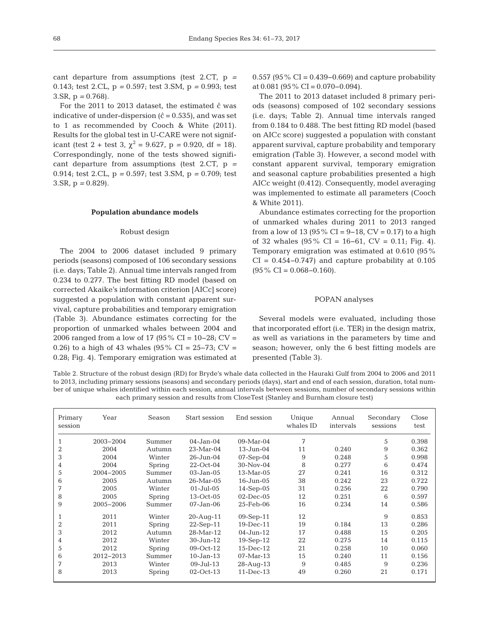cant departure from assumptions (test 2.CT, p *=* 0.143; test 2.CL, p *=* 0.597; test 3.SM, p *=* 0.993; test 3.SR, p *=* 0.768).

For the 2011 to 2013 dataset, the estimated  $\hat{c}$  was indicative of under-dispersion  $(\hat{c} = 0.535)$ , and was set to 1 as recommended by Cooch & White (2011). Results for the global test in U-CARE were not significant (test 2 + test 3,  $\chi^2 = 9.627$ , p = 0.920, df = 18). Correspondingly, none of the tests showed significant departure from assumptions (test 2.CT, p *=* 0.914; test 2.CL, p *=* 0.597; test 3.SM, p *=* 0.709; test 3.SR, p *=* 0.829).

#### **Population abundance models**

#### Robust design

The 2004 to 2006 dataset included 9 primary periods (seasons) composed of 106 secondary sessions (i.e. days; Table 2). Annual time intervals ranged from 0.234 to 0.277. The best fitting RD model (based on corrected Akaike's information criterion [AICc] score) suggested a population with constant apparent survival, capture probabilities and temporary emigration (Table 3). Abundance estimates correcting for the proportion of unmarked whales between 2004 and 2006 ranged from a low of 17 (95% CI = 10−28; CV = 0.26) to a high of 43 whales (95% CI = 25–73; CV = 0.28; Fig. 4). Temporary emigration was estimated at

0.557 (95% CI = 0.439−0.669) and capture probability at  $0.081$  (95% CI = 0.070–0.094).

The 2011 to 2013 dataset included 8 primary periods (seasons) composed of 102 secondary sessions (i.e. days; Table 2). Annual time intervals ranged from 0.184 to 0.488. The best fitting RD model (based on AICc score) suggested a population with constant apparent survival, capture probability and temporary emigration (Table 3). However, a second model with constant apparent survival, temporary emigration and seasonal capture probabilities presented a high AICc weight (0.412). Consequently, model averaging was implemented to estimate all parameters (Cooch & White 2011).

Abundance estimates correcting for the proportion of unmarked whales during 2011 to 2013 ranged from a low of 13 (95 % CI = 9–18, CV = 0.17) to a high of 32 whales  $(95\% \text{ CI} = 16-61, \text{ CV} = 0.11; \text{Fig. 4}).$ Temporary emigration was estimated at 0.610 (95%  $CI = 0.454 - 0.747$ ) and capture probability at 0.105  $(95\% \text{ CI} = 0.068 - 0.160).$ 

#### POPAN analyses

Several models were evaluated, including those that incorporated effort (i.e. TER) in the design matrix, as well as variations in the parameters by time and season; however, only the 6 best fitting models are presented (Table 3).

Table 2. Structure of the robust design (RD) for Bryde's whale data collected in the Hauraki Gulf from 2004 to 2006 and 2011 to 2013, including primary sessions (seasons) and secondary periods (days), start and end of each session, duration, total number of unique whales identified within each session, annual intervals between sessions, number of secondary sessions within each primary session and results from CloseTest (Stanley and Burnham closure test)

| Primary<br>session | Year      | Season | Start session | End session     | Unique<br>whales ID | Annual<br>intervals | Secondary<br>sessions | Close<br>test |
|--------------------|-----------|--------|---------------|-----------------|---------------------|---------------------|-----------------------|---------------|
|                    | 2003-2004 | Summer | $04-Jan-04$   | $09-Mar-04$     | 7                   |                     | 5                     | 0.398         |
| $\overline{2}$     | 2004      | Autumn | $23-Mar-04$   | 13-Jun-04       | 11                  | 0.240               | 9                     | 0.362         |
| 3                  | 2004      | Winter | 26-Jun-04     | $07-Sep-04$     | 9                   | 0.248               | 5                     | 0.998         |
| 4                  | 2004      | Spring | $22$ -Oct-04  | 30-Nov-04       | 8                   | 0.277               | 6                     | 0.474         |
| 5                  | 2004-2005 | Summer | $03-Jan-05$   | $13-Mar-05$     | 27                  | 0.241               | 16                    | 0.312         |
| 6                  | 2005      | Autumn | $26$ -Mar-05  | 16-Jun-05       | 38                  | 0.242               | 23                    | 0.722         |
| 7                  | 2005      | Winter | $01-Jul-05$   | $14-Sep-05$     | 31                  | 0.256               | 22                    | 0.790         |
| 8                  | 2005      | Spring | $13-Oct-05$   | $02$ -Dec- $05$ | 12                  | 0.251               | 6                     | 0.597         |
| 9                  | 2005-2006 | Summer | 07-Jan-06     | 25-Feb-06       | 16                  | 0.234               | 14                    | 0.586         |
|                    | 2011      | Winter | $20$ -Aug-11  | 09-Sep-11       | 12                  |                     | 9                     | 0.853         |
| 2                  | 2011      | Spring | $22$ -Sep-11  | $19-Dec-11$     | 19                  | 0.184               | 13                    | 0.286         |
| 3                  | 2012      | Autumn | 28-Mar-12     | $04-Jun-12$     | 17                  | 0.488               | 15                    | 0.205         |
| 4                  | 2012      | Winter | 30-Jun-12     | $19-Sep-12$     | 22                  | 0.275               | 14                    | 0.115         |
| 5                  | 2012      | Spring | $09-Oct-12$   | $15$ -Dec- $12$ | 21                  | 0.258               | 10                    | 0.060         |
| 6                  | 2012-2013 | Summer | $10-Jan-13$   | $07-Mar-13$     | 15                  | 0.240               | 11                    | 0.156         |
| 7                  | 2013      | Winter | $09-Jul-13$   | $28-Auq-13$     | 9                   | 0.485               | 9                     | 0.236         |
| 8                  | 2013      | Spring | $02$ -Oct-13  | $11-Dec-13$     | 49                  | 0.260               | 21                    | 0.171         |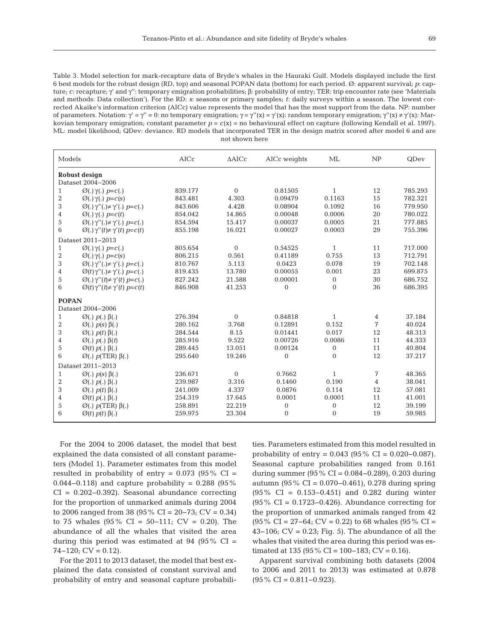Table 3. Model selection for mark-recapture data of Bryde's whales in the Hauraki Gulf. Models displayed include the first 6 best models for the robust design (RD, top) and seasonal POPAN data (bottom) for each period. Ø: apparent survival; *p*: capture; *c*: recapture; γ' and γ'': temporary emigration probabilities; β: probability of entry; TER: trip encounter rate (see 'Materials and methods: Data collection'). For the RD: *s*: seasons or primary samples; *t*: daily surveys within a season. The lowest corrected Akaike's information criterion (AICc) value represents the model that has the most support from the data. NP: number of parameters. Notation:  $γ' = γ'' = 0$ : no temporary emigration;  $γ = γ''(x) = γ'(x)$ : random temporary emigration;  $γ''(x) ≠ γ'(x)$ : Markovian temporary emigration; constant parameter  $p = c(x) =$  no behavioural effect on capture (following Kendall et al. 1997). ML: model likelihood; QDev: deviance. RD models that incorporated TER in the design matrix scored after model 6 and are not shown here

| Models            |                                                       | AICc    | $\triangle$ AICc | AICc weights   | ML             | NP             | QDev    |  |
|-------------------|-------------------------------------------------------|---------|------------------|----------------|----------------|----------------|---------|--|
| Robust design     |                                                       |         |                  |                |                |                |         |  |
|                   | Dataset 2004-2006                                     |         |                  |                |                |                |         |  |
| 1                 | $\varnothing(.) \gamma(.) p=c(.)$                     | 839.177 | $\Omega$         | 0.81505        | $\mathbf{1}$   | 12             | 785.293 |  |
| 2                 | $\varnothing(.) \gamma(.) p=c(s)$                     | 843.481 | 4.303            | 0.09479        | 0.1163         | 15             | 782.321 |  |
| 3                 | $\varnothing(.) \gamma''(.) \neq \gamma'(.) p = c(.)$ | 843.606 | 4.428            | 0.08904        | 0.1092         | 16             | 779.950 |  |
| 4                 | $\varnothing(.) \gamma(.) p = c(t)$                   | 854.042 | 14.865           | 0.00048        | 0.0006         | 20             | 780.022 |  |
| 5                 | $\varnothing(.) \gamma''(.) \neq \gamma'(.) p = c(.)$ | 854.594 | 15.417           | 0.00037        | 0.0005         | 21             | 777.885 |  |
| 6                 | $\varnothing(.) \gamma''(t) \neq \gamma'(t) p = c(t)$ | 855.198 | 16.021           | 0.00027        | 0.0003         | 29             | 755.396 |  |
|                   | Dataset 2011-2013                                     |         |                  |                |                |                |         |  |
| 1                 | $\varnothing(.) \gamma(.) p=c(.)$                     | 805.654 | $\Omega$         | 0.54525        | $\mathbf{1}$   | 11             | 717.000 |  |
| 2                 | $\varnothing(.) \gamma(.) p=c(s)$                     | 806.215 | 0.561            | 0.41189        | 0.755          | 13             | 712.791 |  |
| 3                 | $\varnothing(.) \gamma''(.) \neq \gamma'(.) p=c(.)$   | 810.767 | 5.113            | 0.0423         | 0.078          | 19             | 702.148 |  |
| 4                 | $\varnothing(t)\gamma''(.)\neq\gamma'(.)\ p=c(.)$     | 819.435 | 13.780           | 0.00055        | 0.001          | 23             | 699.875 |  |
| 5                 | $\varnothing(.) \gamma''(t) \neq \gamma'(t) p = c(.)$ | 827.242 | 21.588           | 0.00001        | $\mathbf{0}$   | 30             | 686.752 |  |
| 6                 | $\varnothing(t)\gamma''(t)\neq\gamma'(t)$ $p=c(t)$    | 846.908 | 41.253           | $\Omega$       | $\theta$       | 36             | 686.395 |  |
| <b>POPAN</b>      |                                                       |         |                  |                |                |                |         |  |
|                   | Dataset 2004-2006                                     |         |                  |                |                |                |         |  |
| 1                 | $\varnothing(.)$ $p(.)$ $\beta(.)$                    | 276.394 | $\Omega$         | 0.84818        | $\mathbf{1}$   | 4              | 37.184  |  |
| 2                 | $\varnothing(.)$ $p(s)$ $\beta(.)$                    | 280.162 | 3.768            | 0.12891        | 0.152          | 7              | 40.024  |  |
| 3                 | $\varnothing(.)$ $p(t)$ $\beta(.)$                    | 284.544 | 8.15             | 0.01441        | 0.017          | 12             | 48.313  |  |
| 4                 | $\varnothing(.)$ $p(.)$ $\beta(t)$                    | 285.916 | 9.522            | 0.00726        | 0.0086         | 11             | 44.333  |  |
| 5                 | $\varnothing(t)$ $p(.)$ $\beta(.)$                    | 289.445 | 13.051           | 0.00124        | $\mathbf{0}$   | 11             | 40.804  |  |
| 6                 | $\varnothing(.)$ p(TER) $\beta(.)$                    | 295.640 | 19.246           | $\Omega$       | $\Omega$       | 12             | 37.217  |  |
| Dataset 2011-2013 |                                                       |         |                  |                |                |                |         |  |
| $\mathbf{1}$      | $\varnothing(.)$ $p(s)$ $\beta(.)$                    | 236.671 | $\Omega$         | 0.7662         | $\mathbf{1}$   | 7              | 48.365  |  |
| 2                 | $\varnothing(.) p(.) \beta(.)$                        | 239.987 | 3.316            | 0.1460         | 0.190          | $\overline{4}$ | 38.041  |  |
| 3                 | $\varnothing(.)$ $p(t)$ $\beta(.)$                    | 241.009 | 4.337            | 0.0876         | 0.114          | 12             | 57.081  |  |
| 4                 | $\varnothing(t)$ $p(.)$ $\beta(.)$                    | 254.319 | 17.645           | 0.0001         | 0.0001         | 11             | 41.001  |  |
| 5                 | $\varnothing(.)$ $p(TER)$ $\beta(.)$                  | 258.891 | 22.219           | $\overline{0}$ | $\overline{0}$ | 12             | 39.199  |  |
| 6                 | $\varnothing(t)$ $p(t)$ $\beta(.)$                    | 259.975 | 23.304           | $\mathbf{0}$   | $\overline{0}$ | 19             | 59.985  |  |
|                   |                                                       |         |                  |                |                |                |         |  |

For the 2004 to 2006 dataset, the model that best explained the data consisted of all constant parameters (Model 1). Parameter estimates from this model resulted in probability of entry =  $0.073$  (95% CI = 0.044−0.118) and capture probability = 0.288 (95% CI = 0.202−0.392). Seasonal abundance correcting for the proportion of unmarked animals during 2004 to 2006 ranged from 38 (95% CI = 20−73; CV = 0.34) to 75 whales (95% CI = 50−111; CV = 0.20). The abundance of all the whales that visited the area during this period was estimated at  $94$  ( $95\%$  CI =  $74-120$ ; CV = 0.12).

For the 2011 to 2013 dataset, the model that best explained the data consisted of constant survival and probability of entry and seasonal capture probabilities. Parameters estimated from this model resulted in probability of entry =  $0.043$  (95% CI =  $0.020-0.087$ ). Seasonal capture probabilities ranged from 0.161 during summer (95% CI = 0.084−0.289), 0.203 during autumn (95% CI = 0.070−0.461), 0.278 during spring (95% CI = 0.153−0.451) and 0.282 during winter (95% CI = 0.1723−0.426). Abundance correcting for the proportion of unmarked animals ranged from 42 (95% CI = 27−64; CV = 0.22) to 68 whales (95% CI = 43−106; CV = 0.23; Fig. 5). The abundance of all the whales that visited the area during this period was estimated at 135 (95 % CI = 100–183; CV = 0.16).

Apparent survival combining both datasets (2004 to 2006 and 2011 to 2013) was estimated at 0.878 (95% CI = 0.811−0.923).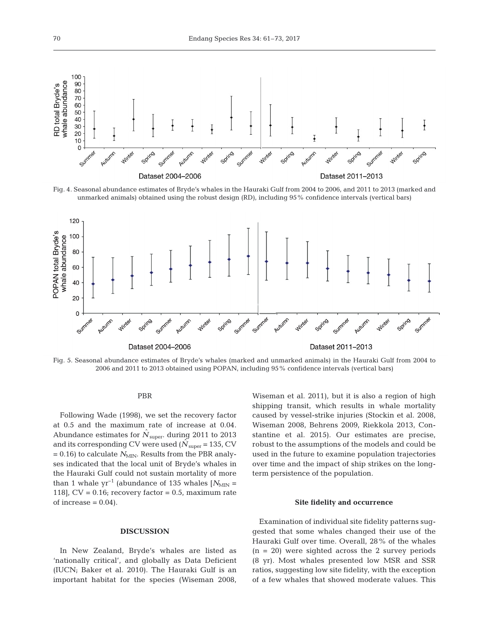

Fig. 4. Seasonal abundance estimates of Bryde's whales in the Hauraki Gulf from 2004 to 2006, and 2011 to 2013 (marked and unmarked animals) obtained using the robust design (RD), including 95% confidence intervals (vertical bars)



Fig. 5. Seasonal abundance estimates of Bryde's whales (marked and unmarked animals) in the Hauraki Gulf from 2004 to 2006 and 2011 to 2013 obtained using POPAN, including 95% confidence intervals (vertical bars)

# PBR

Following Wade (1998), we set the recovery factor at 0.5 and the maximum rate of increase at 0.04. Abundance estimates for  $\hat{N}_{super}$  during 2011 to 2013 and its corresponding CV were used ( $N_{\text{super}}$  = 135, CV  $= 0.16$ ) to calculate  $N_{MIN}$ . Results from the PBR analyses indicated that the local unit of Bryde's whales in the Hauraki Gulf could not sustain mortality of more than 1 whale yr<sup>-1</sup> (abundance of 135 whales  $[N<sub>MIN</sub>]$  = 118],  $CV = 0.16$ ; recovery factor = 0.5, maximum rate of increase  $= 0.04$ ).

## **DISCUSSION**

In New Zealand, Bryde's whales are listed as 'nationally critical', and globally as Data Deficient (IUCN; Baker et al. 2010). The Hauraki Gulf is an important habitat for the species (Wiseman 2008, Wiseman et al. 2011), but it is also a region of high shipping transit, which results in whale mortality caused by vessel-strike injuries (Stockin et al. 2008, Wiseman 2008, Behrens 2009, Riekkola 2013, Constantine et al. 2015). Our estimates are precise, robust to the assumptions of the models and could be used in the future to examine population trajectories over time and the impact of ship strikes on the longterm persistence of the population.

## **Site fidelity and occurrence**

Examination of individual site fidelity patterns suggested that some whales changed their use of the Hauraki Gulf over time. Overall, 28% of the whales  $(n = 20)$  were sighted across the 2 survey periods (8 yr). Most whales presented low MSR and SSR ratios, suggesting low site fidelity, with the exception of a few whales that showed moderate values. This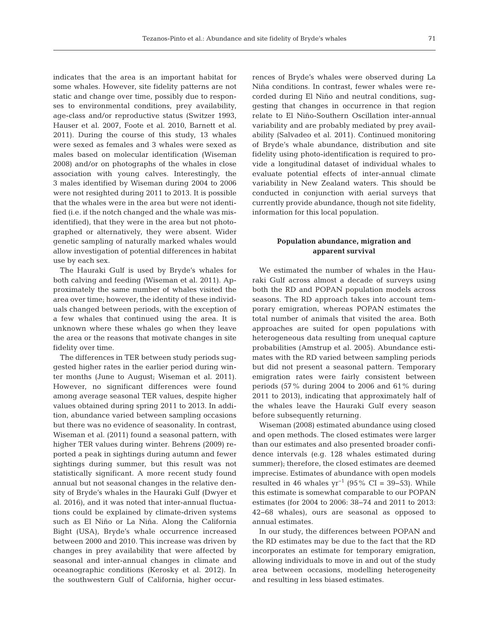indicates that the area is an important habitat for some whales. However, site fidelity patterns are not static and change over time, possibly due to respon ses to environmental conditions, prey availability, age-class and/or reproductive status (Switzer 1993, Hauser et al. 2007, Foote et al. 2010, Barnett et al. 2011). During the course of this study, 13 whales were sexed as females and 3 whales were sexed as males based on molecular identification (Wiseman 2008) and/or on photographs of the whales in close association with young calves. Interestingly, the 3 males identified by Wiseman during 2004 to 2006 were not resighted during 2011 to 2013. It is possible that the whales were in the area but were not identified (i.e. if the notch changed and the whale was misidentified), that they were in the area but not photographed or alternatively, they were absent. Wider genetic sampling of naturally marked whales would allow investigation of potential differences in habitat use by each sex.

The Hauraki Gulf is used by Bryde's whales for both calving and feeding (Wiseman et al. 2011). Approximately the same number of whales visited the area over time; however, the identity of these individuals changed between periods, with the exception of a few whales that continued using the area. It is unknown where these whales go when they leave the area or the reasons that motivate changes in site fidelity over time.

The differences in TER between study periods suggested higher rates in the earlier period during winter months (June to August; Wiseman et al. 2011). However, no significant differences were found among average seasonal TER values, despite higher values obtained during spring 2011 to 2013. In addition, abundance varied between sampling occasions but there was no evidence of seasonality. In contrast, Wiseman et al. (2011) found a seasonal pattern, with higher TER values during winter. Behrens (2009) re ported a peak in sightings during autumn and fewer sightings during summer, but this result was not statistically significant. A more recent study found annual but not seasonal changes in the relative density of Bryde's whales in the Hauraki Gulf (Dwyer et al. 2016), and it was noted that inter-annual fluctuations could be explained by climate-driven systems such as El Niño or La Niña. Along the California Bight (USA), Bryde's whale occurrence increased between 2000 and 2010. This increase was driven by changes in prey availability that were affected by seasonal and inter-annual changes in climate and oceanographic conditions (Kerosky et al. 2012). In the southwestern Gulf of California, higher occurrences of Bryde's whales were observed during La Niña conditions. In contrast, fewer whales were recor ded during El Niño and neutral conditions, suggesting that changes in occurrence in that region relate to El Niño-Southern Oscillation inter-annual variability and are probably mediated by prey availability (Salvadeo et al. 2011). Continued monitoring of Bryde's whale abundance, distribution and site fidelity using photo-identification is required to provide a longitudinal dataset of individual whales to evaluate potential effects of inter-annual climate variability in New Zealand waters. This should be conducted in conjunction with aerial surveys that currently provide abundance, though not site fidelity, information for this local population.

# **Population abundance, migration and apparent survival**

We estimated the number of whales in the Hauraki Gulf across almost a decade of surveys using both the RD and POPAN population models across seasons. The RD approach takes into account temporary emigration, whereas POPAN estimates the total number of animals that visited the area. Both approaches are suited for open populations with heterogeneous data resulting from unequal capture probabilities (Amstrup et al. 2005). Abundance estimates with the RD varied between sampling periods but did not present a seasonal pattern. Temporary emigration rates were fairly consistent between periods (57% during 2004 to 2006 and 61% during 2011 to 2013), indicating that approximately half of the whales leave the Hauraki Gulf every season before subsequently returning.

Wiseman (2008) estimated abundance using closed and open methods. The closed estimates were larger than our estimates and also presented broader confidence intervals (e.g. 128 whales estimated during summer); therefore, the closed estimates are deemed imprecise. Estimates of abundance with open models resulted in 46 whales  $yr^{-1}$  (95% CI = 39–53). While this estimate is somewhat comparable to our POPAN estimates (for 2004 to 2006: 38−74 and 2011 to 2013: 42−68 whales), ours are seasonal as opposed to annual estimates.

In our study, the differences between POPAN and the RD estimates may be due to the fact that the RD incorporates an estimate for temporary emigration, allowing individuals to move in and out of the study area between occasions, modelling heterogeneity and resulting in less biased estimates.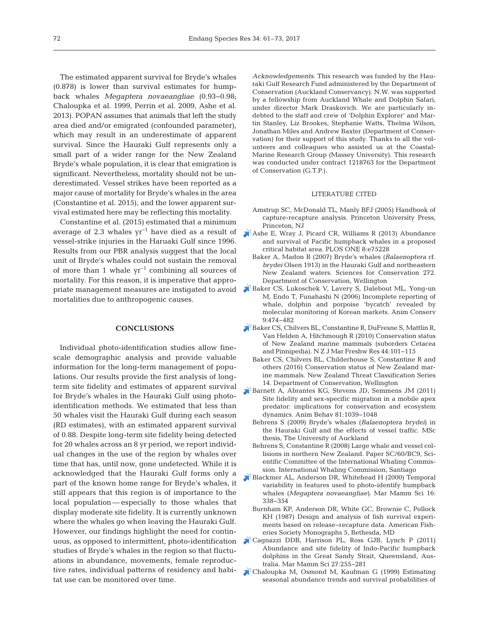The estimated apparent survival for Bryde's whales (0.878) is lower than survival estimates for humpback whales *Megaptera novaeangliae* (0.93−0.98; Chaloupka et al. 1999, Perrin et al. 2009, Ashe et al. 2013). POPAN assumes that animals that left the study area died and/or emigrated (confounded parameter), which may result in an underestimate of apparent survival. Since the Hauraki Gulf represents only a small part of a wider range for the New Zealand Bryde's whale population, it is clear that emigration is significant. Nevertheless, mortality should not be underestimated. Vessel strikes have been reported as a major cause of mortality for Bryde's whales in the area (Constantine et al. 2015), and the lower apparent survival estimated here may be reflecting this mortality.

Constantine et al. (2015) estimated that a minimum average of 2.3 whales yr−1 have died as a result of vessel-strike injuries in the Haruaki Gulf since 1996. Results from our PBR analysis suggest that the local unit of Bryde's whales could not sustain the removal of more than 1 whale yr−1 combining all sources of mortality. For this reason, it is imperative that appropriate management measures are instigated to avoid mortalities due to anthropogenic causes.

## **CONCLUSIONS**

Individual photo-identification studies allow finescale demographic analysis and provide valuable information for the long-term management of populations. Our results provide the first analysis of longterm site fidelity and estimates of apparent survival for Bryde's whales in the Hauraki Gulf using photoidentification methods. We estimated that less than 50 whales visit the Hauraki Gulf during each season (RD estimates), with an estimated apparent survival of 0.88. Despite long-term site fidelity being detected for 20 whales across an 8 yr period, we report individual changes in the use of the region by whales over time that has, until now, gone undetected. While it is acknowledged that the Hauraki Gulf forms only a part of the known home range for Bryde's whales, it still appears that this region is of importance to the local population — especially to those whales that display moderate site fidelity. It is currently unknown where the whales go when leaving the Hauraki Gulf. However, our findings highlight the need for continuous, as opposed to intermittent, photo-identification studies of Bryde's whales in the region so that fluctuations in abundance, movements, female reproductive rates, individual patterns of residency and habitat use can be monitored over time.

*Acknowledgements*. This research was funded by the Hauraki Gulf Research Fund administered by the Department of Conservation (Auckland Conservancy). N.W. was supported by a fellowship from Auckland Whale and Dolphin Safari, under director Mark Draskovich. We are particularly indebted to the staff and crew of 'Dolphin Explorer' and Martin Stanley, Liz Brookes, Stephanie Watts, Thelma Wilson, Jonathan Miles and Andrew Baxter (Department of Conservation) for their support of this study. Thanks to all the volunteers and colleagues who assisted us at the Coastal-Marine Research Group (Massey University). This research was conducted under contract 1218763 for the Department of Conservation (G.T.P.).

#### LITERATURE CITED

- Amstrup SC, McDonald TL, Manly BFJ (2005) Handbook of capture-recapture analysis. Princeton University Press, Princeton, NJ
- [Ashe E, Wray J, Picard CR, Williams R \(2013\) Abundance](https://doi.org/10.1371/journal.pone.0075228) and survival of Pacific humpback whales in a proposed critical habitat area. PLOS ONE 8:e75228
	- Baker A, Madon B (2007) Bryde's whales (*Balaenoptera* cf. *brydei* Olsen 1913) in the Hauraki Gulf and northeastern New Zealand waters. Sciences for Conservation 272. Department of Conservation, Wellington
- [Baker CS, Lukoschek V, Lavery S, Dalebout ML, Yong-un](https://doi.org/10.1111/j.1469-1795.2006.00062.x) M, Endo T, Funahashi N (2006) Incomplete reporting of whale, dolphin and porpoise 'bycatch' revealed by molecular monitoring of Korean markets. Anim Conserv 9: 474−482
- [Baker CS, Chilvers BL, Constantine R, DuFresne S, Mattlin R,](https://doi.org/10.1080/00288330.2010.482970) Van Helden A, Hitchmough R (2010) Conservation status of New Zealand marine mammals (suborders Cetacea and Pinnipedia). N Z J Mar Freshw Res 44: 101−115
	- Baker CS, Chilvers BL, Childerhouse S, Constantine R and others (2016) Conservation status of New Zealand marine mammals. New Zealand Threat Classification Series 14. Department of Conservation, Wellington
- [Barnett A, Abrantes KG, Stevens JD, Semmens JM \(2011\)](https://doi.org/10.1016/j.anbehav.2011.02.011) Site fidelity and sex-specific migration in a mobile apex predator:implications for conservation and ecosystem dynamics. Anim Behav 81: 1039−1048
	- Behrens S (2009) Bryde's whales (*Balaenoptera brydei*) in the Hauraki Gulf and the effects of vessel traffic. MSc thesis, The University of Auckland
	- Behrens S, Constantine R (2008) Large whale and vessel collisions in northern New Zealand. Paper SC/60/BC9, Scientific Committee of the International Whaling Commission. International Whaling Commission, Santiago
- [Blackmer AL, Anderson DR, Whitehead H \(2000\) Temporal](https://doi.org/10.1111/j.1748-7692.2000.tb00929.x) variability in features used to photo-identify humpback whales (*Megaptera novaeangliae)*. Mar Mamm Sci 16: 338−354
	- Burnham KP, Anderson DR, White GC, Brownie C, Pollock KH (1987) Design and analysis of fish survival experiments based on release−recapture data. American Fisheries Society Monographs 5, Bethesda, MD
- [Cagnazzi DDB, Harrison PL, Ross GJB, Lynch P \(2011\)](https://doi.org/10.1111/j.1748-7692.2009.00296.x) Abundance and site fidelity of Indo-Pacific humpback dolphins in the Great Sandy Strait, Queensland, Australia. Mar Mamm Sci 27: 255−281
- [Chaloupka M, Osmond M, Kaufman G \(1999\) Estimating](https://doi.org/10.3354/meps184291) seasonal abundance trends and survival probabilities of